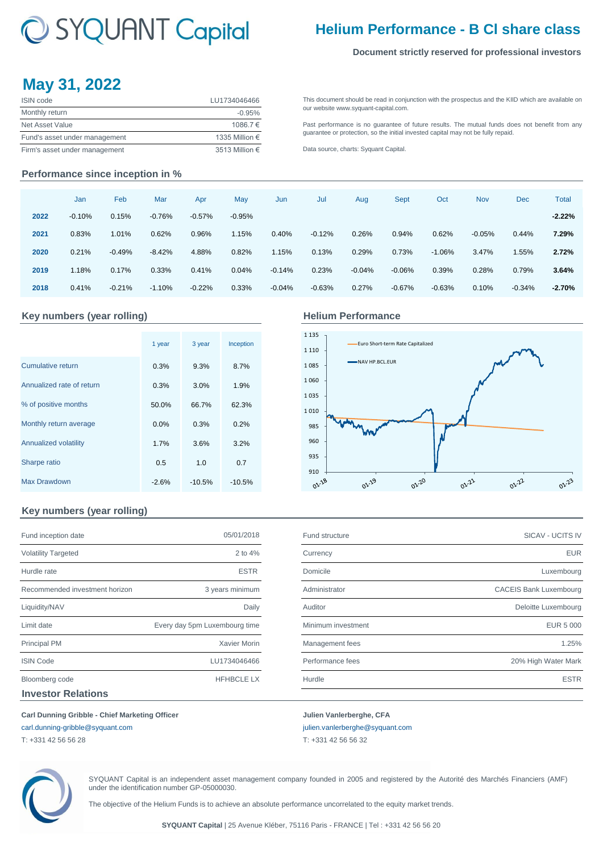# C SYQUANT Capital

## **Helium Performance - B Cl share class**

[This](http://www.syquant-capital.fr/publications-syquant-capital.php) [document](http://www.syquant-capital.fr/publications-syquant-capital.php) [should](http://www.syquant-capital.fr/publications-syquant-capital.php) be read in [conjunction](http://www.syquant-capital.fr/publications-syquant-capital.php) with the prospectus and the KIID which are available on

[Past](http://www.syquant-capital.fr/publications-syquant-capital.php) [performance](http://www.syquant-capital.fr/publications-syquant-capital.php) is no [guarantee](http://www.syquant-capital.fr/publications-syquant-capital.php) of future results. The mutual funds does not benefit from any

[guarantee or p](http://www.syquant-capital.fr/publications-syquant-capital.php)rotection, so the initial invested capital may not be fully repaid.

#### **Document strictly reserved for professional investors**

## **May 31, 2022**

| <b>ISIN</b> code              | LU1734046466   |
|-------------------------------|----------------|
| Monthly return                | $-0.95%$       |
| Net Asset Value               | 1086.7€        |
| Fund's asset under management | 1335 Million € |
| Firm's asset under management | 3513 Million € |

#### **Performance since inception in %**

|      | Jan      | Feb      | Mar      | Apr      | May      | Jun      | Jul      | Aug      | <b>Sept</b> | Oct      | <b>Nov</b> | <b>Dec</b> | <b>Total</b> |
|------|----------|----------|----------|----------|----------|----------|----------|----------|-------------|----------|------------|------------|--------------|
| 2022 | $-0.10%$ | 0.15%    | $-0.76%$ | $-0.57%$ | $-0.95%$ |          |          |          |             |          |            |            | $-2.22%$     |
| 2021 | 0.83%    | 1.01%    | 0.62%    | 0.96%    | 1.15%    | 0.40%    | $-0.12%$ | 0.26%    | 0.94%       | 0.62%    | $-0.05%$   | 0.44%      | 7.29%        |
| 2020 | 0.21%    | $-0.49%$ | $-8.42%$ | 4.88%    | 0.82%    | 1.15%    | 0.13%    | 0.29%    | 0.73%       | $-1.06%$ | 3.47%      | 1.55%      | 2.72%        |
| 2019 | 1.18%    | 0.17%    | 0.33%    | 0.41%    | 0.04%    | $-0.14%$ | 0.23%    | $-0.04%$ | $-0.06\%$   | 0.39%    | 0.28%      | 0.79%      | 3.64%        |
| 2018 | 0.41%    | $-0.21%$ | $-1.10%$ | $-0.22%$ | 0.33%    | $-0.04%$ | $-0.63%$ | 0.27%    | $-0.67%$    | $-0.63%$ | 0.10%      | $-0.34%$   | $-2.70%$     |

### **Key numbers (year rolling) Helium Performance**

|                           | 1 year  | 3 year   | Inception |
|---------------------------|---------|----------|-----------|
| <b>Cumulative return</b>  | 0.3%    | 9.3%     | 8.7%      |
| Annualized rate of return | 0.3%    | 3.0%     | 1.9%      |
| % of positive months      | 50.0%   | 66.7%    | 62.3%     |
| Monthly return average    | 0.0%    | 0.3%     | 0.2%      |
| Annualized volatility     | 1.7%    | 3.6%     | 3.2%      |
| Sharpe ratio              | 0.5     | 1.0      | 0.7       |
| <b>Max Drawdown</b>       | $-2.6%$ | $-10.5%$ | $-10.5%$  |

[our website ww](http://www.syquant-capital.fr/publications-syquant-capital.php)w.syquant-capital.com.

[Data source, c](http://www.syquant-capital.fr/publications-syquant-capital.php)harts: Syquant Capital.



### **Key numbers (year rolling)**

| Fund inception date            | 05/01/2018                    |
|--------------------------------|-------------------------------|
| <b>Volatility Targeted</b>     | $2$ to $4%$                   |
| Hurdle rate                    | <b>ESTR</b>                   |
| Recommended investment horizon | 3 years minimum               |
| Liquidity/NAV                  | Daily                         |
| Limit date                     | Every day 5pm Luxembourg time |
| <b>Principal PM</b>            | <b>Xavier Morin</b>           |
| <b>ISIN Code</b>               | LU1734046466                  |
| Bloomberg code                 | <b>HFHBCLE LX</b>             |
| <b>Investor Relations</b>      |                               |

| Fund inception date                   | 05/01/2018                    | Fund structure     | <b>SICAV - UCITS IV</b>       |
|---------------------------------------|-------------------------------|--------------------|-------------------------------|
| <b>Volatility Targeted</b>            | 2 to $4%$                     | Currency           | <b>EUR</b>                    |
| Hurdle rate                           | <b>ESTR</b>                   | Domicile           | Luxembourg                    |
| Recommended investment horizon        | 3 years minimum               | Administrator      | <b>CACEIS Bank Luxembourg</b> |
| Liquidity/NAV                         | Daily                         | Auditor            | Deloitte Luxembourg           |
| Limit date                            | Every day 5pm Luxembourg time | Minimum investment | EUR 5 000                     |
| Principal PM                          | Xavier Morin                  | Management fees    | 1.25%                         |
| <b>ISIN Code</b>                      | LU1734046466                  | Performance fees   | 20% High Water Mark           |
| Bloomberg code                        | <b>HFHBCLE LX</b>             | Hurdle             | <b>ESTR</b>                   |
| المستحلف والمتالي والمتعاون والمستحدة |                               |                    |                               |

#### **Carl Dunning Gribble - Chief Marketing Officer Julien Vanlerberghe, CFA**

[carl.dunning-gribble@syquant.com](mailto:carl.dunning-gribble@syquant.com) [julien.vanlerberghe@syquant.com](mailto:julien.vanlerberghe@syquant.com) 

T: +331 42 56 56 28 T: +331 42 56 56 32

SYQUANT Capital is an independent asset management company founded in 2005 and registered by the Autorité des Marchés Financiers (AMF) under the identification number GP-05000030.

The objective of the Helium Funds is to achieve an absolute performance uncorrelated to the equity market trends.

**SYQUANT Capital** | 25 Avenue Kléber, 75116 Paris - FRANCE | Tel : +331 42 56 56 20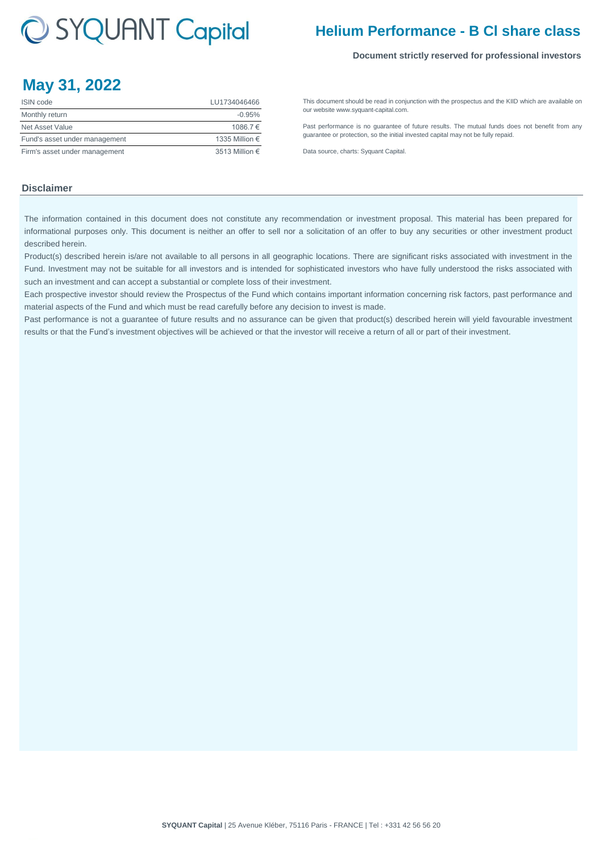# C SYQUANT Capital

## **Helium Performance - B Cl share class**

#### **Document strictly reserved for professional investors**

## **May 31, 2022**

| <b>ISIN</b> code              | LU1734046466   |
|-------------------------------|----------------|
| Monthly return                | $-0.95%$       |
| Net Asset Value               | 1086.7€        |
| Fund's asset under management | 1335 Million € |
| Firm's asset under management | 3513 Million € |

[This](http://www.syquant-capital.fr/publications-syquant-capital.php) [document](http://www.syquant-capital.fr/publications-syquant-capital.php) [should](http://www.syquant-capital.fr/publications-syquant-capital.php) be read in [conjunction](http://www.syquant-capital.fr/publications-syquant-capital.php) with the prospectus and the KIID which are available on [our website ww](http://www.syquant-capital.fr/publications-syquant-capital.php)w.syquant-capital.com.

[Past](http://www.syquant-capital.fr/publications-syquant-capital.php) [performance](http://www.syquant-capital.fr/publications-syquant-capital.php) is no [guarantee](http://www.syquant-capital.fr/publications-syquant-capital.php) of future results. The mutual funds does not benefit from any [guarantee or p](http://www.syquant-capital.fr/publications-syquant-capital.php)rotection, so the initial invested capital may not be fully repaid.

[Data source, c](http://www.syquant-capital.fr/publications-syquant-capital.php)harts: Syquant Capital.

#### **Disclaimer**

The information contained in this document does not constitute any recommendation or investment proposal. This material has been prepared for informational purposes only. This document is neither an offer to sell nor a solicitation of an offer to buy any securities or other investment product described herein.

Product(s) described herein is/are not available to all persons in all geographic locations. There are significant risks associated with investment in the Fund. Investment may not be suitable for all investors and is intended for sophisticated investors who have fully understood the risks associated with such an investment and can accept a substantial or complete loss of their investment.

Each prospective investor should review the Prospectus of the Fund which contains important information concerning risk factors, past performance and material aspects of the Fund and which must be read carefully before any decision to invest is made.

Past performance is not a guarantee of future results and no assurance can be given that product(s) described herein will yield favourable investment results or that the Fund's investment objectives will be achieved or that the investor will receive a return of all or part of their investment.